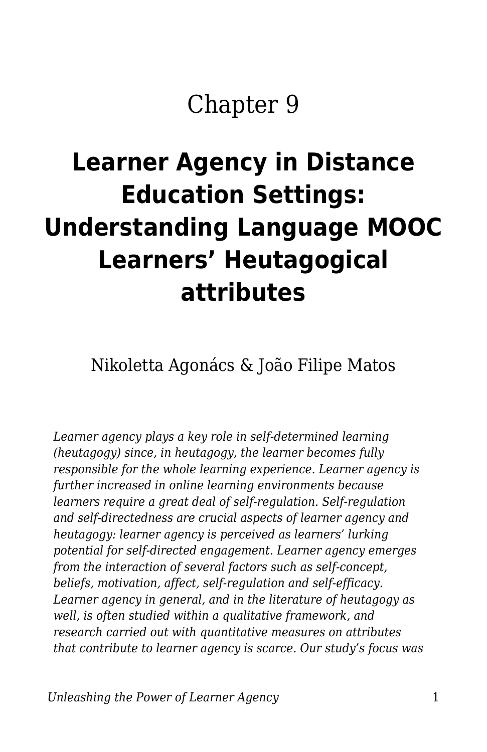## Chapter 9

# **Learner Agency in Distance Education Settings: Understanding Language MOOC Learners' Heutagogical attributes**

Nikoletta Agonács & João Filipe Matos

*Learner agency plays a key role in self-determined learning (heutagogy) since, in heutagogy, the learner becomes fully responsible for the whole learning experience. Learner agency is further increased in online learning environments because learners require a great deal of self-regulation. Self-regulation and self-directedness are crucial aspects of learner agency and heutagogy: learner agency is perceived as learners' lurking potential for self-directed engagement. Learner agency emerges from the interaction of several factors such as self-concept, beliefs, motivation, affect, self-regulation and self-efficacy. Learner agency in general, and in the literature of heutagogy as well, is often studied within a qualitative framework, and research carried out with quantitative measures on attributes that contribute to learner agency is scarce. Our study's focus was*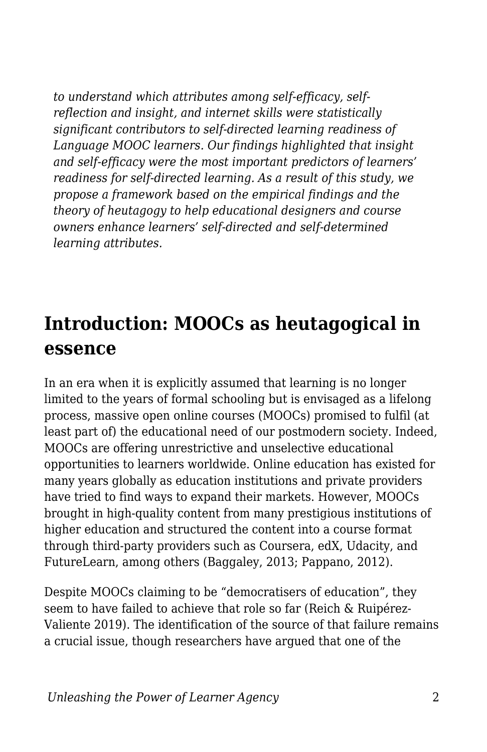*to understand which attributes among self-efficacy, selfreflection and insight, and internet skills were statistically significant contributors to self-directed learning readiness of Language MOOC learners. Our findings highlighted that insight and self-efficacy were the most important predictors of learners' readiness for self-directed learning. As a result of this study, we propose a framework based on the empirical findings and the theory of heutagogy to help educational designers and course owners enhance learners' self-directed and self-determined learning attributes.*

### **Introduction: MOOCs as heutagogical in essence**

In an era when it is explicitly assumed that learning is no longer limited to the years of formal schooling but is envisaged as a lifelong process, massive open online courses (MOOCs) promised to fulfil (at least part of) the educational need of our postmodern society. Indeed, MOOCs are offering unrestrictive and unselective educational opportunities to learners worldwide. Online education has existed for many years globally as education institutions and private providers have tried to find ways to expand their markets. However, MOOCs brought in high-quality content from many prestigious institutions of higher education and structured the content into a course format through third-party providers such as Coursera, edX, Udacity, and FutureLearn, among others (Baggaley, 2013; Pappano, 2012).

Despite MOOCs claiming to be "democratisers of education", they seem to have failed to achieve that role so far (Reich & Ruipérez-Valiente 2019). The identification of the source of that failure remains a crucial issue, though researchers have argued that one of the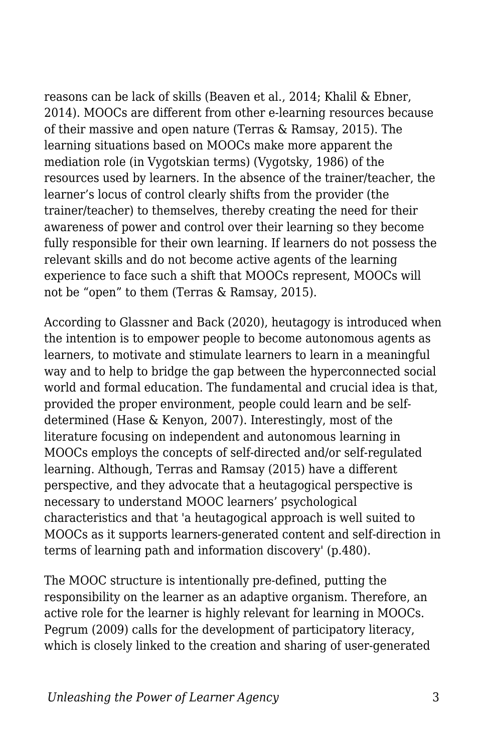reasons can be lack of skills (Beaven et al., 2014; Khalil & Ebner, 2014). MOOCs are different from other e-learning resources because of their massive and open nature (Terras & Ramsay, 2015). The learning situations based on MOOCs make more apparent the mediation role (in Vygotskian terms) (Vygotsky, 1986) of the resources used by learners. In the absence of the trainer/teacher, the learner's locus of control clearly shifts from the provider (the trainer/teacher) to themselves, thereby creating the need for their awareness of power and control over their learning so they become fully responsible for their own learning. If learners do not possess the relevant skills and do not become active agents of the learning experience to face such a shift that MOOCs represent, MOOCs will not be "open" to them (Terras & Ramsay, 2015).

According to Glassner and Back (2020), heutagogy is introduced when the intention is to empower people to become autonomous agents as learners, to motivate and stimulate learners to learn in a meaningful way and to help to bridge the gap between the hyperconnected social world and formal education. The fundamental and crucial idea is that, provided the proper environment, people could learn and be selfdetermined (Hase & Kenyon, 2007). Interestingly, most of the literature focusing on independent and autonomous learning in MOOCs employs the concepts of self-directed and/or self-regulated learning. Although, Terras and Ramsay (2015) have a different perspective, and they advocate that a heutagogical perspective is necessary to understand MOOC learners' psychological characteristics and that 'a heutagogical approach is well suited to MOOCs as it supports learners-generated content and self-direction in terms of learning path and information discovery' (p.480).

The MOOC structure is intentionally pre-defined, putting the responsibility on the learner as an adaptive organism. Therefore, an active role for the learner is highly relevant for learning in MOOCs. Pegrum (2009) calls for the development of participatory literacy, which is closely linked to the creation and sharing of user-generated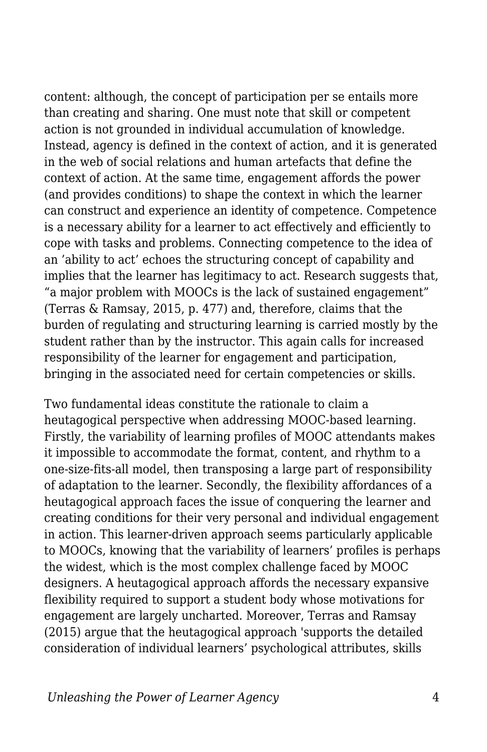content: although, the concept of participation per se entails more than creating and sharing. One must note that skill or competent action is not grounded in individual accumulation of knowledge. Instead, agency is defined in the context of action, and it is generated in the web of social relations and human artefacts that define the context of action. At the same time, engagement affords the power (and provides conditions) to shape the context in which the learner can construct and experience an identity of competence. Competence is a necessary ability for a learner to act effectively and efficiently to cope with tasks and problems. Connecting competence to the idea of an 'ability to act' echoes the structuring concept of capability and implies that the learner has legitimacy to act. Research suggests that, "a major problem with MOOCs is the lack of sustained engagement" (Terras & Ramsay, 2015, p. 477) and, therefore, claims that the burden of regulating and structuring learning is carried mostly by the student rather than by the instructor. This again calls for increased responsibility of the learner for engagement and participation, bringing in the associated need for certain competencies or skills.

Two fundamental ideas constitute the rationale to claim a heutagogical perspective when addressing MOOC-based learning. Firstly, the variability of learning profiles of MOOC attendants makes it impossible to accommodate the format, content, and rhythm to a one-size-fits-all model, then transposing a large part of responsibility of adaptation to the learner. Secondly, the flexibility affordances of a heutagogical approach faces the issue of conquering the learner and creating conditions for their very personal and individual engagement in action. This learner-driven approach seems particularly applicable to MOOCs, knowing that the variability of learners' profiles is perhaps the widest, which is the most complex challenge faced by MOOC designers. A heutagogical approach affords the necessary expansive flexibility required to support a student body whose motivations for engagement are largely uncharted. Moreover, Terras and Ramsay (2015) argue that the heutagogical approach 'supports the detailed consideration of individual learners' psychological attributes, skills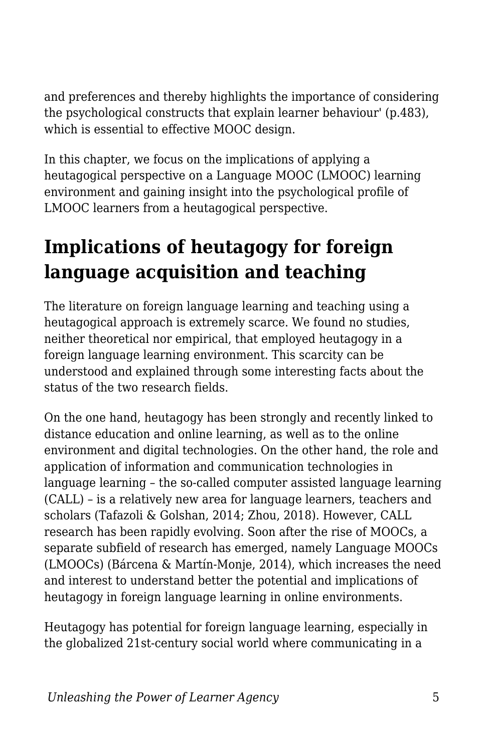and preferences and thereby highlights the importance of considering the psychological constructs that explain learner behaviour' (p.483), which is essential to effective MOOC design.

In this chapter, we focus on the implications of applying a heutagogical perspective on a Language MOOC (LMOOC) learning environment and gaining insight into the psychological profile of LMOOC learners from a heutagogical perspective.

### **Implications of heutagogy for foreign language acquisition and teaching**

The literature on foreign language learning and teaching using a heutagogical approach is extremely scarce. We found no studies, neither theoretical nor empirical, that employed heutagogy in a foreign language learning environment. This scarcity can be understood and explained through some interesting facts about the status of the two research fields.

On the one hand, heutagogy has been strongly and recently linked to distance education and online learning, as well as to the online environment and digital technologies. On the other hand, the role and application of information and communication technologies in language learning – the so-called computer assisted language learning (CALL) – is a relatively new area for language learners, teachers and scholars (Tafazoli & Golshan, 2014; Zhou, 2018). However, CALL research has been rapidly evolving. Soon after the rise of MOOCs, a separate subfield of research has emerged, namely Language MOOCs (LMOOCs) (Bárcena & Martín-Monje, 2014), which increases the need and interest to understand better the potential and implications of heutagogy in foreign language learning in online environments.

Heutagogy has potential for foreign language learning, especially in the globalized 21st-century social world where communicating in a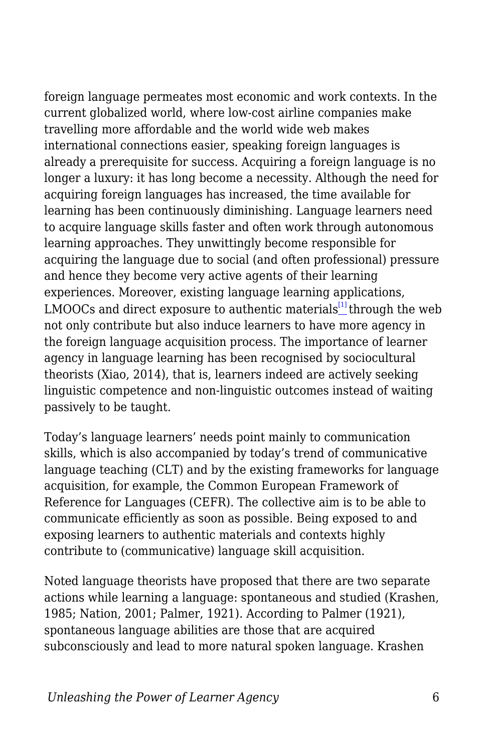foreign language permeates most economic and work contexts. In the current globalized world, where low-cost airline companies make travelling more affordable and the world wide web makes international connections easier, speaking foreign languages is already a prerequisite for success. Acquiring a foreign language is no longer a luxury: it has long become a necessity. Although the need for acquiring foreign languages has increased, the time available for learning has been continuously diminishing. Language learners need to acquire language skills faster and often work through autonomous learning approaches. They unwittingly become responsible for acquiring the language due to social (and often professional) pressure and hence they become very active agents of their learning experiences. Moreover, existing language learning applications, LMOOCs and direct exposure to authentic materials $[1]$ through the web not only contribute but also induce learners to have more agency in the foreign language acquisition process. The importance of learner agency in language learning has been recognised by sociocultural theorists (Xiao, 2014), that is, learners indeed are actively seeking linguistic competence and non-linguistic outcomes instead of waiting passively to be taught.

<span id="page-5-0"></span>Today's language learners' needs point mainly to communication skills, which is also accompanied by today's trend of communicative language teaching (CLT) and by the existing frameworks for language acquisition, for example, the Common European Framework of Reference for Languages (CEFR). The collective aim is to be able to communicate efficiently as soon as possible. Being exposed to and exposing learners to authentic materials and contexts highly contribute to (communicative) language skill acquisition.

Noted language theorists have proposed that there are two separate actions while learning a language: spontaneous and studied (Krashen, 1985; Nation, 2001; Palmer, 1921). According to Palmer (1921), spontaneous language abilities are those that are acquired subconsciously and lead to more natural spoken language. Krashen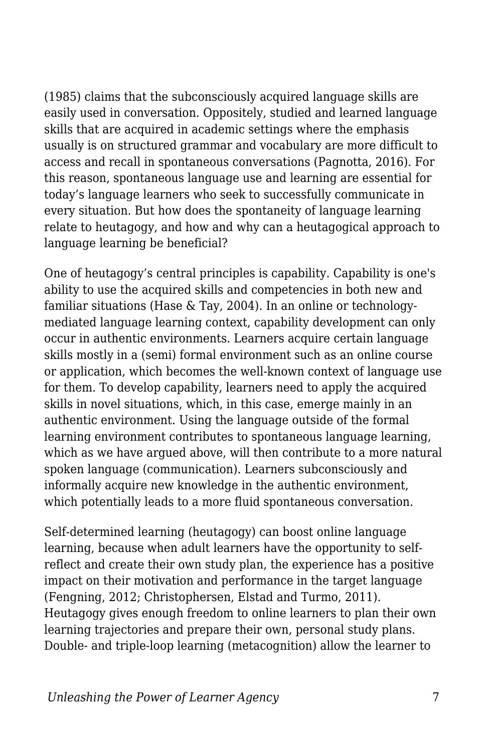(1985) claims that the subconsciously acquired language skills are easily used in conversation. Oppositely, studied and learned language skills that are acquired in academic settings where the emphasis usually is on structured grammar and vocabulary are more difficult to access and recall in spontaneous conversations (Pagnotta, 2016). For this reason, spontaneous language use and learning are essential for today's language learners who seek to successfully communicate in every situation. But how does the spontaneity of language learning relate to heutagogy, and how and why can a heutagogical approach to language learning be beneficial?

One of heutagogy's central principles is capability. Capability is one's ability to use the acquired skills and competencies in both new and familiar situations (Hase & Tay, 2004). In an online or technologymediated language learning context, capability development can only occur in authentic environments. Learners acquire certain language skills mostly in a (semi) formal environment such as an online course or application, which becomes the well-known context of language use for them. To develop capability, learners need to apply the acquired skills in novel situations, which, in this case, emerge mainly in an authentic environment. Using the language outside of the formal learning environment contributes to spontaneous language learning, which as we have argued above, will then contribute to a more natural spoken language (communication). Learners subconsciously and informally acquire new knowledge in the authentic environment, which potentially leads to a more fluid spontaneous conversation.

Self-determined learning (heutagogy) can boost online language learning, because when adult learners have the opportunity to selfreflect and create their own study plan, the experience has a positive impact on their motivation and performance in the target language (Fengning, 2012; Christophersen, Elstad and Turmo, 2011). Heutagogy gives enough freedom to online learners to plan their own learning trajectories and prepare their own, personal study plans. Double- and triple-loop learning (metacognition) allow the learner to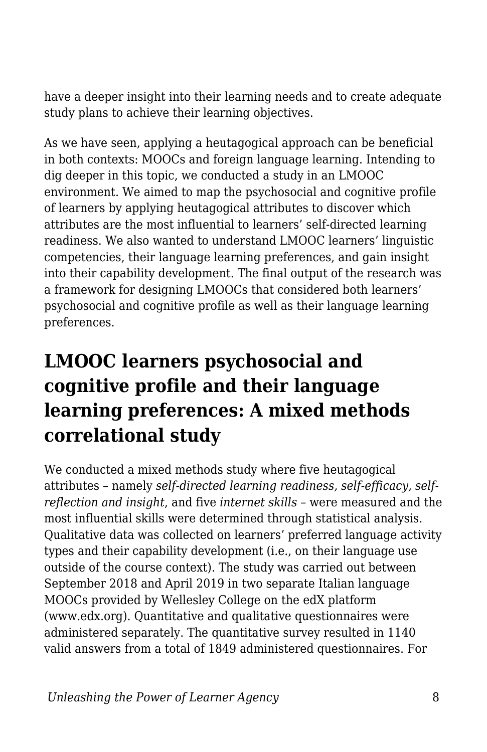have a deeper insight into their learning needs and to create adequate study plans to achieve their learning objectives.

As we have seen, applying a heutagogical approach can be beneficial in both contexts: MOOCs and foreign language learning. Intending to dig deeper in this topic, we conducted a study in an LMOOC environment. We aimed to map the psychosocial and cognitive profile of learners by applying heutagogical attributes to discover which attributes are the most influential to learners' self-directed learning readiness. We also wanted to understand LMOOC learners' linguistic competencies, their language learning preferences, and gain insight into their capability development. The final output of the research was a framework for designing LMOOCs that considered both learners' psychosocial and cognitive profile as well as their language learning preferences.

### **LMOOC learners psychosocial and cognitive profile and their language learning preferences: A mixed methods correlational study**

We conducted a mixed methods study where five heutagogical attributes – namely *self-directed learning readiness, self-efficacy, selfreflection and insight*, and five *internet skills* – were measured and the most influential skills were determined through statistical analysis. Qualitative data was collected on learners' preferred language activity types and their capability development (i.e., on their language use outside of the course context). The study was carried out between September 2018 and April 2019 in two separate Italian language MOOCs provided by Wellesley College on the edX platform (www.edx.org). Quantitative and qualitative questionnaires were administered separately. The quantitative survey resulted in 1140 valid answers from a total of 1849 administered questionnaires. For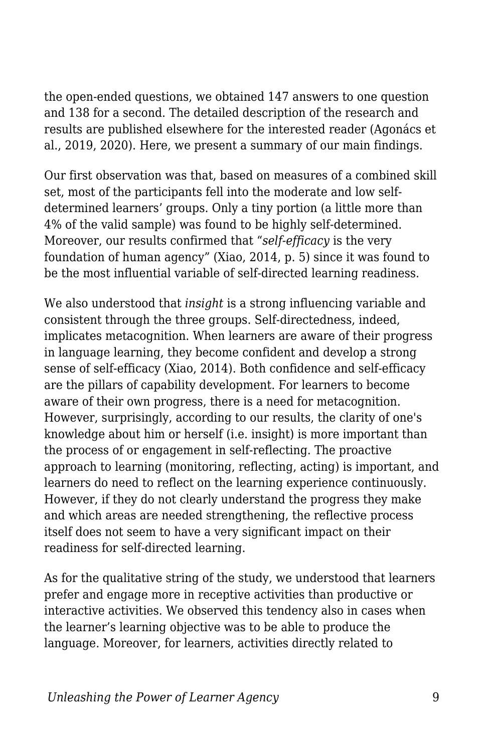the open-ended questions, we obtained 147 answers to one question and 138 for a second. The detailed description of the research and results are published elsewhere for the interested reader (Agonács et al., 2019, 2020). Here, we present a summary of our main findings.

Our first observation was that, based on measures of a combined skill set, most of the participants fell into the moderate and low selfdetermined learners' groups. Only a tiny portion (a little more than 4% of the valid sample) was found to be highly self-determined. Moreover, our results confirmed that "*self-efficacy* is the very foundation of human agency" (Xiao, 2014, p. 5) since it was found to be the most influential variable of self-directed learning readiness.

We also understood that *insight* is a strong influencing variable and consistent through the three groups. Self-directedness, indeed, implicates metacognition. When learners are aware of their progress in language learning, they become confident and develop a strong sense of self-efficacy (Xiao, 2014). Both confidence and self-efficacy are the pillars of capability development. For learners to become aware of their own progress, there is a need for metacognition. However, surprisingly, according to our results, the clarity of one's knowledge about him or herself (i.e. insight) is more important than the process of or engagement in self-reflecting. The proactive approach to learning (monitoring, reflecting, acting) is important, and learners do need to reflect on the learning experience continuously. However, if they do not clearly understand the progress they make and which areas are needed strengthening, the reflective process itself does not seem to have a very significant impact on their readiness for self-directed learning.

As for the qualitative string of the study, we understood that learners prefer and engage more in receptive activities than productive or interactive activities. We observed this tendency also in cases when the learner's learning objective was to be able to produce the language. Moreover, for learners, activities directly related to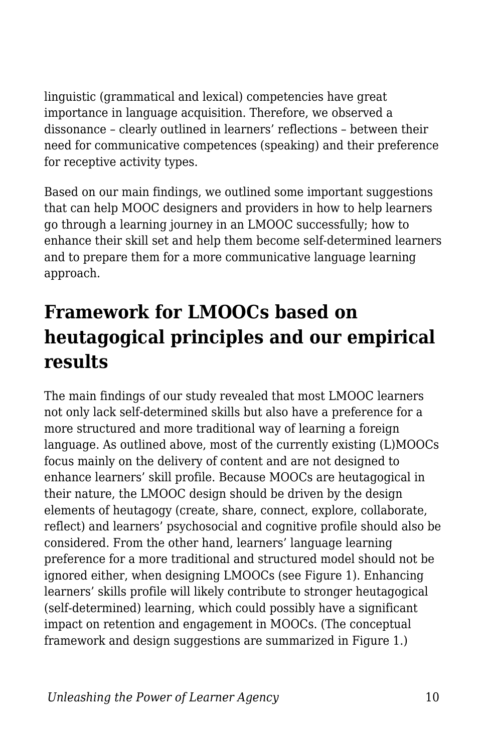linguistic (grammatical and lexical) competencies have great importance in language acquisition. Therefore, we observed a dissonance – clearly outlined in learners' reflections – between their need for communicative competences (speaking) and their preference for receptive activity types.

Based on our main findings, we outlined some important suggestions that can help MOOC designers and providers in how to help learners go through a learning journey in an LMOOC successfully; how to enhance their skill set and help them become self-determined learners and to prepare them for a more communicative language learning approach.

### **Framework for LMOOCs based on heutagogical principles and our empirical results**

The main findings of our study revealed that most LMOOC learners not only lack self-determined skills but also have a preference for a more structured and more traditional way of learning a foreign language. As outlined above, most of the currently existing (L)MOOCs focus mainly on the delivery of content and are not designed to enhance learners' skill profile. Because MOOCs are heutagogical in their nature, the LMOOC design should be driven by the design elements of heutagogy (create, share, connect, explore, collaborate, reflect) and learners' psychosocial and cognitive profile should also be considered. From the other hand, learners' language learning preference for a more traditional and structured model should not be ignored either, when designing LMOOCs (see Figure 1). Enhancing learners' skills profile will likely contribute to stronger heutagogical (self-determined) learning, which could possibly have a significant impact on retention and engagement in MOOCs. (The conceptual framework and design suggestions are summarized in Figure 1.)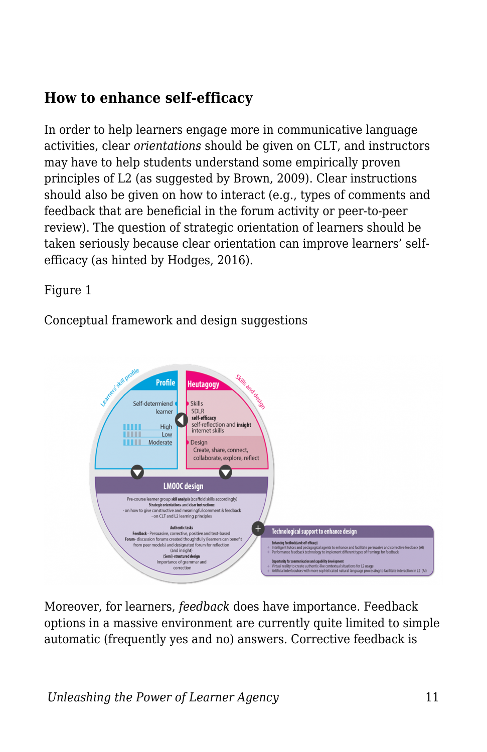### **How to enhance self-efficacy**

In order to help learners engage more in communicative language activities, clear *orientations* should be given on CLT, and instructors may have to help students understand some empirically proven principles of L2 (as suggested by Brown, 2009). Clear instructions should also be given on how to interact (e.g., types of comments and feedback that are beneficial in the forum activity or peer-to-peer review). The question of strategic orientation of learners should be taken seriously because clear orientation can improve learners' selfefficacy (as hinted by Hodges, 2016).

Figure 1

Conceptual framework and design suggestions



Moreover, for learners, *feedback* does have importance. Feedback options in a massive environment are currently quite limited to simple automatic (frequently yes and no) answers. Corrective feedback is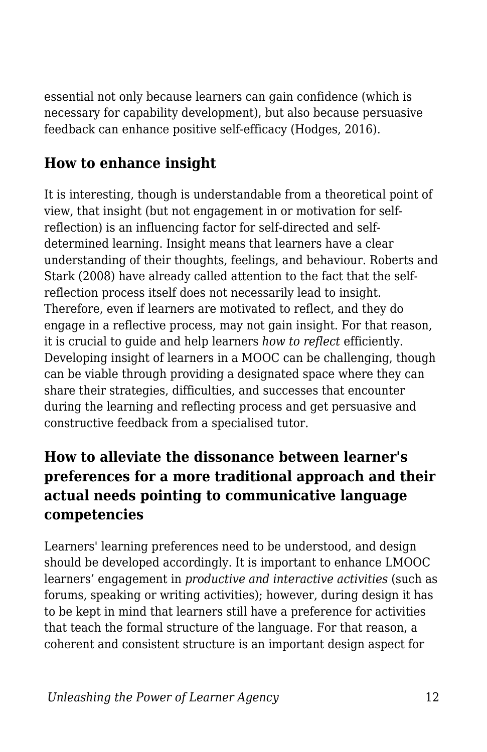essential not only because learners can gain confidence (which is necessary for capability development), but also because persuasive feedback can enhance positive self-efficacy (Hodges, 2016).

### **How to enhance insight**

It is interesting, though is understandable from a theoretical point of view, that insight (but not engagement in or motivation for selfreflection) is an influencing factor for self-directed and selfdetermined learning. Insight means that learners have a clear understanding of their thoughts, feelings, and behaviour. Roberts and Stark (2008) have already called attention to the fact that the selfreflection process itself does not necessarily lead to insight. Therefore, even if learners are motivated to reflect, and they do engage in a reflective process, may not gain insight. For that reason, it is crucial to guide and help learners *how to reflect* efficiently. Developing insight of learners in a MOOC can be challenging, though can be viable through providing a designated space where they can share their strategies, difficulties, and successes that encounter during the learning and reflecting process and get persuasive and constructive feedback from a specialised tutor.

### **How to alleviate the dissonance between learner's preferences for a more traditional approach and their actual needs pointing to communicative language competencies**

Learners' learning preferences need to be understood, and design should be developed accordingly. It is important to enhance LMOOC learners' engagement in *productive and interactive activities* (such as forums, speaking or writing activities); however, during design it has to be kept in mind that learners still have a preference for activities that teach the formal structure of the language. For that reason, a coherent and consistent structure is an important design aspect for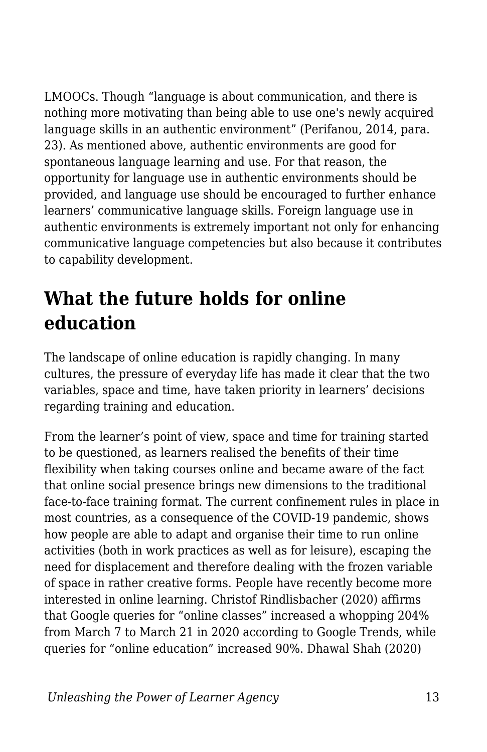LMOOCs. Though "language is about communication, and there is nothing more motivating than being able to use one's newly acquired language skills in an authentic environment" (Perifanou, 2014, para. 23). As mentioned above, authentic environments are good for spontaneous language learning and use. For that reason, the opportunity for language use in authentic environments should be provided, and language use should be encouraged to further enhance learners' communicative language skills. Foreign language use in authentic environments is extremely important not only for enhancing communicative language competencies but also because it contributes to capability development.

### **What the future holds for online education**

The landscape of online education is rapidly changing. In many cultures, the pressure of everyday life has made it clear that the two variables, space and time, have taken priority in learners' decisions regarding training and education.

From the learner's point of view, space and time for training started to be questioned, as learners realised the benefits of their time flexibility when taking courses online and became aware of the fact that online social presence brings new dimensions to the traditional face-to-face training format. The current confinement rules in place in most countries, as a consequence of the COVID-19 pandemic, shows how people are able to adapt and organise their time to run online activities (both in work practices as well as for leisure), escaping the need for displacement and therefore dealing with the frozen variable of space in rather creative forms. People have recently become more interested in online learning. Christof Rindlisbacher (2020) affirms that Google queries for "online classes" increased a whopping 204% from March 7 to March 21 in 2020 according to Google Trends, while queries for "online education" increased 90%. Dhawal Shah (2020)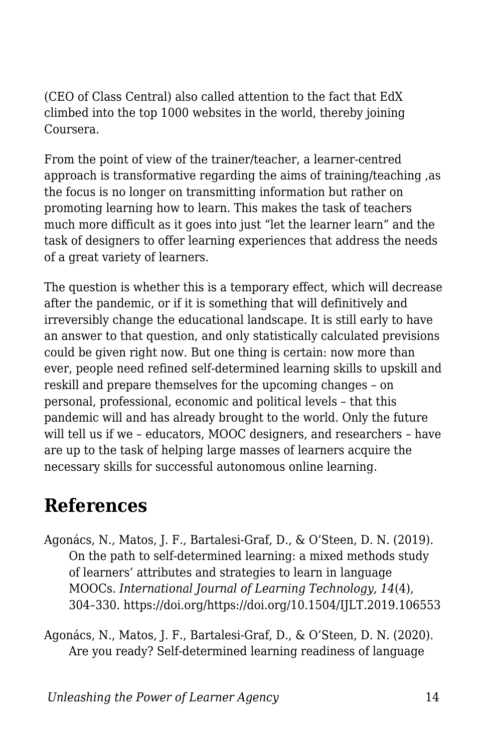(CEO of Class Central) also called attention to the fact that EdX climbed into the top 1000 websites in the world, thereby joining Coursera.

From the point of view of the trainer/teacher, a learner-centred approach is transformative regarding the aims of training/teaching ,as the focus is no longer on transmitting information but rather on promoting learning how to learn. This makes the task of teachers much more difficult as it goes into just "let the learner learn" and the task of designers to offer learning experiences that address the needs of a great variety of learners.

The question is whether this is a temporary effect, which will decrease after the pandemic, or if it is something that will definitively and irreversibly change the educational landscape. It is still early to have an answer to that question, and only statistically calculated previsions could be given right now. But one thing is certain: now more than ever, people need refined self-determined learning skills to upskill and reskill and prepare themselves for the upcoming changes – on personal, professional, economic and political levels – that this pandemic will and has already brought to the world. Only the future will tell us if we – educators, MOOC designers, and researchers – have are up to the task of helping large masses of learners acquire the necessary skills for successful autonomous online learning.

### **References**

- Agonács, N., Matos, J. F., Bartalesi-Graf, D., & O'Steen, D. N. (2019). On the path to self-determined learning: a mixed methods study of learners' attributes and strategies to learn in language MOOCs. *International Journal of Learning Technology, 14*(4), 304–330. https://doi.org/https://doi.org/10.1504/IJLT.2019.106553
- Agonács, N., Matos, J. F., Bartalesi-Graf, D., & O'Steen, D. N. (2020). Are you ready? Self-determined learning readiness of language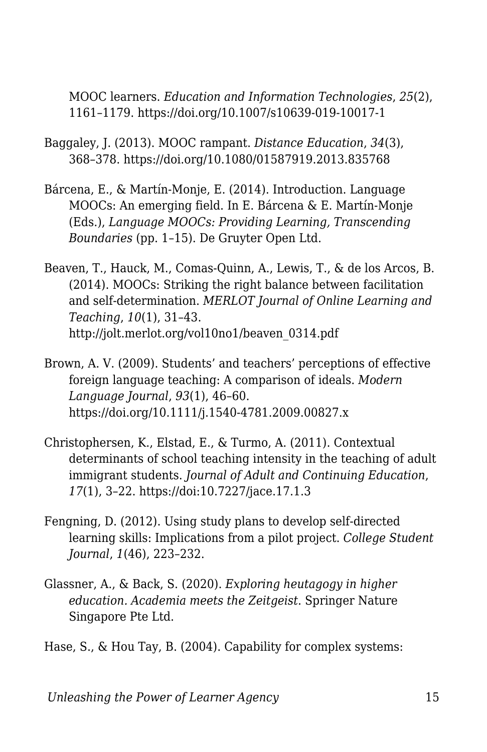MOOC learners. *Education and Information Technologies*, *25*(2), 1161–1179. https://doi.org/10.1007/s10639-019-10017-1

- Baggaley, J. (2013). MOOC rampant. *Distance Education*, *34*(3), 368–378. https://doi.org/10.1080/01587919.2013.835768
- Bárcena, E., & Martín-Monje, E. (2014). Introduction. Language MOOCs: An emerging field. In E. Bárcena & E. Martín-Monje (Eds.), *Language MOOCs: Providing Learning, Transcending Boundaries* (pp. 1–15). De Gruyter Open Ltd.
- Beaven, T., Hauck, M., Comas-Quinn, A., Lewis, T., & de los Arcos, B. (2014). MOOCs: Striking the right balance between facilitation and self-determination. *MERLOT Journal of Online Learning and Teaching*, *10*(1), 31–43. http://jolt.merlot.org/vol10no1/beaven\_0314.pdf
- Brown, A. V. (2009). Students' and teachers' perceptions of effective foreign language teaching: A comparison of ideals. *Modern Language Journal*, *93*(1), 46–60. https://doi.org/10.1111/j.1540-4781.2009.00827.x
- Christophersen, K., Elstad, E., & Turmo, A. (2011). Contextual determinants of school teaching intensity in the teaching of adult immigrant students. *Journal of Adult and Continuing Education*, *17*(1), 3–22. https://doi:10.7227/jace.17.1.3
- Fengning, D. (2012). Using study plans to develop self-directed learning skills: Implications from a pilot project. *College Student Journal*, *1*(46), 223–232.
- Glassner, A., & Back, S. (2020). *Exploring heutagogy in higher education. Academia meets the Zeitgeist*. Springer Nature Singapore Pte Ltd.
- Hase, S., & Hou Tay, B. (2004). Capability for complex systems: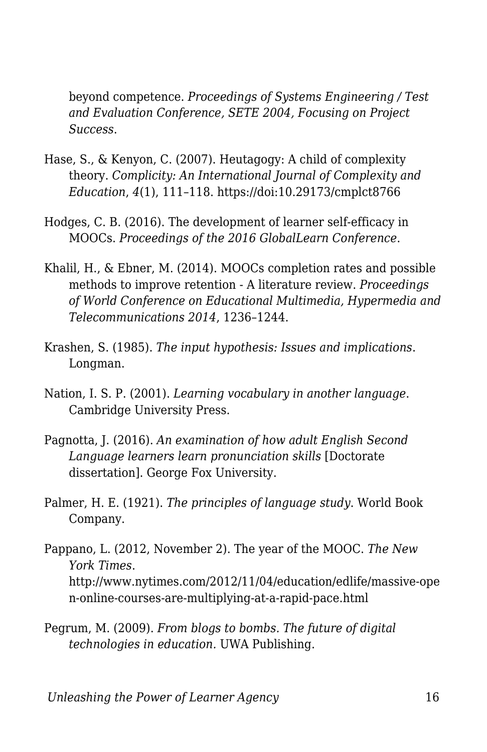beyond competence. *Proceedings of Systems Engineering / Test and Evaluation Conference, SETE 2004, Focusing on Project Success*.

- Hase, S., & Kenyon, C. (2007). Heutagogy: A child of complexity theory. *Complicity: An International Journal of Complexity and Education*, *4*(1), 111–118. https://doi:10.29173/cmplct8766
- Hodges, C. B. (2016). The development of learner self-efficacy in MOOCs. *Proceedings of the 2016 GlobalLearn Conference*.
- Khalil, H., & Ebner, M. (2014). MOOCs completion rates and possible methods to improve retention - A literature review. *Proceedings of World Conference on Educational Multimedia, Hypermedia and Telecommunications 2014*, 1236–1244.
- Krashen, S. (1985). *The input hypothesis: Issues and implications*. Longman.
- Nation, I. S. P. (2001). *Learning vocabulary in another language*. Cambridge University Press.
- Pagnotta, J. (2016). *An examination of how adult English Second Language learners learn pronunciation skills* [Doctorate dissertation]. George Fox University.
- Palmer, H. E. (1921). *The principles of language study*. World Book Company.
- Pappano, L. (2012, November 2). The year of the MOOC. *The New York Times*. http://www.nytimes.com/2012/11/04/education/edlife/massive-ope n-online-courses-are-multiplying-at-a-rapid-pace.html
- Pegrum, M. (2009). *From blogs to bombs. The future of digital technologies in education.* UWA Publishing.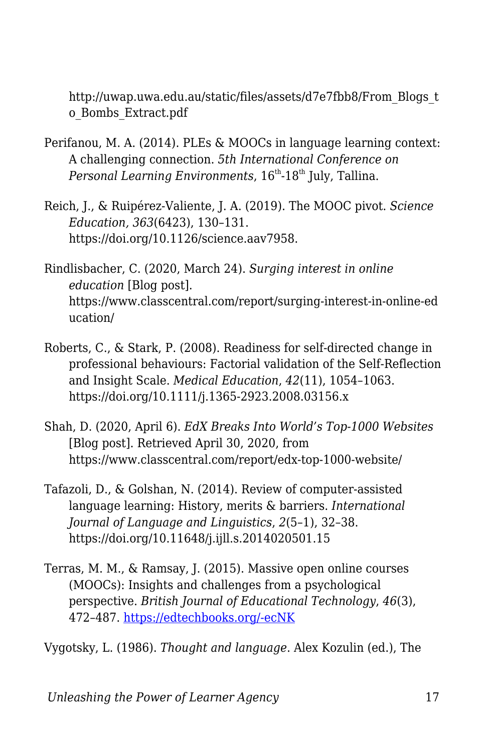http://uwap.uwa.edu.au/static/files/assets/d7e7fbb8/From\_Blogs\_t o\_Bombs\_Extract.pdf

- Perifanou, M. A. (2014). PLEs & MOOCs in language learning context: A challenging connection. *5th International Conference on Personal Learning Environments*,  $16^{th}$ -18<sup>th</sup> July, Tallina.
- Reich, J., & Ruipérez-Valiente, J. A. (2019). The MOOC pivot. *Science Education, 363*(6423), 130–131. https://doi.org/10.1126/science.aav7958.
- Rindlisbacher, C. (2020, March 24). *Surging interest in online education* [Blog post]. https://www.classcentral.com/report/surging-interest-in-online-ed ucation/
- Roberts, C., & Stark, P. (2008). Readiness for self-directed change in professional behaviours: Factorial validation of the Self-Reflection and Insight Scale. *Medical Education*, *42*(11), 1054–1063. https://doi.org/10.1111/j.1365-2923.2008.03156.x
- Shah, D. (2020, April 6). *EdX Breaks Into World's Top-1000 Websites* [Blog post]. Retrieved April 30, 2020, from https://www.classcentral.com/report/edx-top-1000-website/
- Tafazoli, D., & Golshan, N. (2014). Review of computer-assisted language learning: History, merits & barriers. *International Journal of Language and Linguistics*, *2*(5–1), 32–38. https://doi.org/10.11648/j.ijll.s.2014020501.15
- Terras, M. M., & Ramsay, J. (2015). Massive open online courses (MOOCs): Insights and challenges from a psychological perspective. *British Journal of Educational Technology*, *46*(3), 472–487. [https://edtechbooks.org/-ecNK](https://doi.org/10.1111/bjet.12274)

Vygotsky, L. (1986). *Thought and language*. Alex Kozulin (ed.), The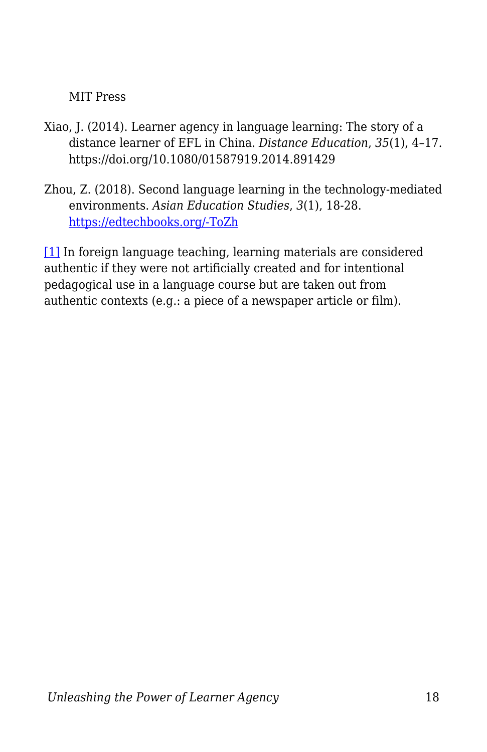#### MIT Press

- Xiao, J. (2014). Learner agency in language learning: The story of a distance learner of EFL in China. *Distance Education*, *35*(1), 4–17. https://doi.org/10.1080/01587919.2014.891429
- Zhou, Z. (2018). Second language learning in the technology-mediated environments. *Asian Education Studies*, *3*(1), 18-28. [https://edtechbooks.org/-ToZh](https://doi.org/10.20849/aes.v3i1.307)

<span id="page-17-0"></span>[\[1\]](#page-5-0) In foreign language teaching, learning materials are considered authentic if they were not artificially created and for intentional pedagogical use in a language course but are taken out from authentic contexts (e.g.: a piece of a newspaper article or film).